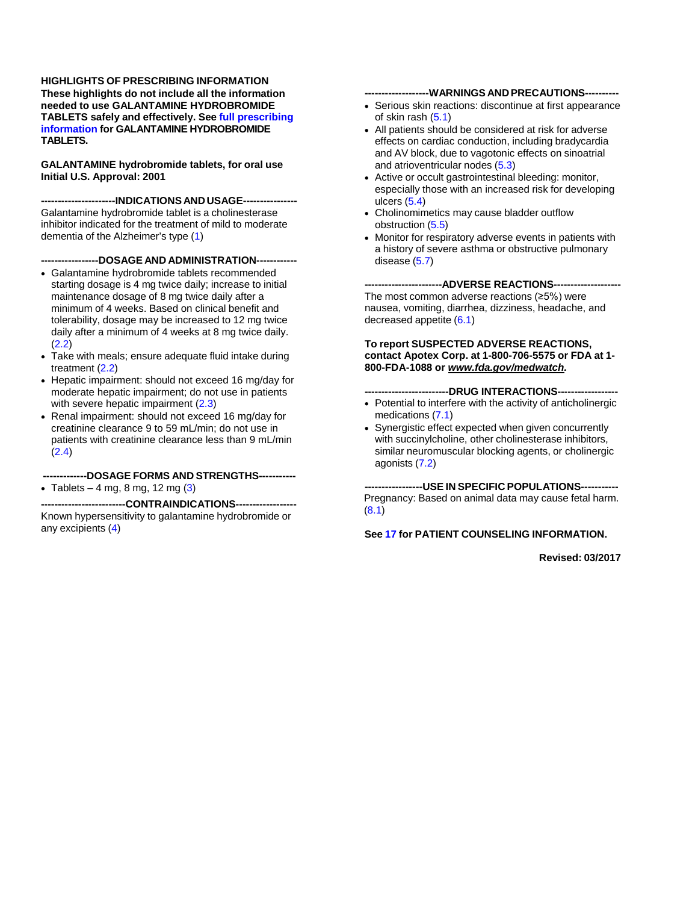**HIGHLIGHTS OF PRESCRIBING INFORMATION These highlights do not include all the information needed to use GALANTAMINE HYDROBROMIDE TABLETS safely and effectively. See full [prescribing](#page-1-0) [information](#page-1-0) for GALANTAMINE HYDROBROMIDE TABLETS.**

**GALANTAMINE hydrobromide tablets, for oral use Initial U.S. Approval: 2001**

**----------------------INDICATIONS AND USAGE----------------** Galantamine hydrobromide tablet is a cholinesterase inhibitor indicated for the treatment of mild to moderate dementia of the Alzheimer's type [\(1\)](#page-2-0)

#### **-----------------DOSAGE AND ADMINISTRATION------------**

- Galantamine hydrobromide tablets recommended starting dosage is 4 mg twice daily; increase to initial maintenance dosage of 8 mg twice daily after a minimum of 4 weeks. Based on clinical benefit and tolerability, dosage may be increased to 12 mg twice daily after a minimum of 4 weeks at 8 mg twice daily. [\(2.2\)](#page-2-1)
- Take with meals; ensure adequate fluid intake during treatment [\(2.2\)](#page-2-1)
- Hepatic impairment: should not exceed 16 mg/day for moderate hepatic impairment; do not use in patients with severe hepatic impairment [\(2.3\)](#page-2-2)
- Renal impairment: should not exceed 16 mg/day for creatinine clearance 9 to 59 mL/min; do not use in patients with creatinine clearance less than 9 mL/min [\(2.4\)](#page-2-3)

# **-------------DOSAGE FORMS AND STRENGTHS-----------**

• Tablets  $-4$  mg, 8 mg, 12 mg  $(3)$ 

--CONTRAINDICATIONS-----Known hypersensitivity to galantamine hydrobromide or any excipients [\(4\)](#page-3-0)

#### **-------------------WARNINGS AND PRECAUTIONS----------**

- Serious skin reactions: discontinue at first appearance of skin rash  $(5.1)$
- All patients should be considered at risk for adverse effects on cardiac conduction, including bradycardia and AV block, due to vagotonic effects on sinoatrial and atrioventricular nodes [\(5.3\)](#page-3-2)
- Active or occult gastrointestinal bleeding: monitor, especially those with an increased risk for developing ulcers [\(5.4\)](#page-3-3)
- Cholinomimetics may cause bladder outflow obstruction [\(5.5\)](#page-3-4)
- Monitor for respiratory adverse events in patients with a history of severe asthma or obstructive pulmonary disease  $(5.7)$

#### ---ADVERSE REACTIONS----

The most common adverse reactions (≥5%) were nausea, vomiting, diarrhea, dizziness, headache, and decreased appetite [\(6.1\)](#page-4-1)

#### **To report SUSPECTED ADVERSE REACTIONS, contact Apotex Corp. at 1-800-706-5575 or FDA at 1- 800-FDA-1088 or** *[www.fda.gov/medwatch.](http://www.fda.gov/medwatch)*

#### **-DRUG INTERACTIONS---**

- Potential to interfere with the activity of anticholinergic medications [\(7.1\)](#page-7-0)
- Synergistic effect expected when given concurrently with succinylcholine, other cholinesterase inhibitors, similar neuromuscular blocking agents, or cholinergic agonists [\(7.2\)](#page-7-1)

**-----------------USE IN SPECIFIC POPULATIONS-----------** Pregnancy: Based on animal data may cause fetal harm. [\(8.1\)](#page-7-2)

#### **See [17](#page-22-0) for PATIENT COUNSELING INFORMATION.**

**Revised: 03/2017**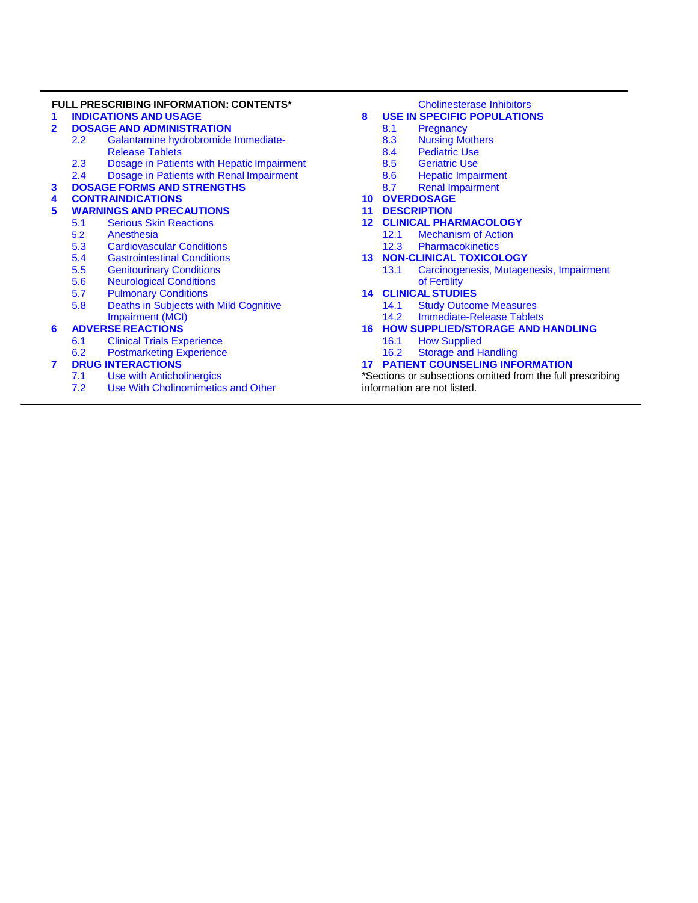#### **FULL PRESCRIBING INFORMATION: CONTENTS\***

- **1 [INDICATIONS](#page-2-0) AND USAGE**
- **2 DOSAGE AND [ADMINISTRATION](#page-2-5)** 2.2 [Galantamine hydrobromide Immediate-](#page-2-1)
	- [Release Tablets](#page-2-1)
	-
	- 2.3 [Dosage in Patients with Hepatic](#page-2-2) Impairment<br>2.4 Dosage in Patients with Renal Impairment 2.4 [Dosage in Patients with Renal](#page-2-3) Impairment
- **3 DOSAGE FORMS AND [STRENGTHS](#page-2-4)**

# **4 [CONTRAINDICATIONS](#page-3-0)**

# **5 WARNINGS AND [PRECAUTIONS](#page-3-5)**

- **[Serious Skin Reactions](#page-3-1)**
- 5.2 [Anesthesia](#page-3-6)
- 5.3 [Cardiovascular Conditions](#page-3-2)<br>5.4 Gastrointestinal Conditions
- 5.4 [Gastrointestinal Conditions](#page-3-3)<br>5.5 Genitourinary Conditions
- 5.5 [Genitourinary Conditions](#page-3-4)<br>5.6 Neurological Conditions
- 5.6 [Neurological Conditions](#page-4-2)<br>5.7 Pulmonary Conditions
- 5.7 [Pulmonary Conditions](#page-4-0)<br>5.8 Deaths in Subiects with
- Deaths in Subjects with Mild Cognitive [Impairment \(MCI\)](#page-4-3)

# **6 ADVERSE [REACTIONS](#page-4-4)**

- **[Clinical Trials Experience](#page-4-1)**
- 6.2 [Postmarketing Experience](#page-6-0)

# <span id="page-1-0"></span>**7 [DRUG INTERACTIONS](#page-7-3)**

- 7.1 [Use with Anticholinergics](#page-7-0)<br>7.2 Use With Cholinomimetic
- Use With Cholinomimetics and Other

#### [Cholinesterase Inhibitors](#page-7-1)

# **8 [USE IN SPECIFIC POPULATIONS](#page-7-4)**<br>8.1 **Pregnancy**

- 8.1 [Pregnancy](#page-7-2)<br>8.3 Nursing Mo
- 8.3 [Nursing Mothers](#page-7-5)<br>8.4 Pediatric Use
- 8.4 [Pediatric Use](#page-7-6)<br>8.5 Geriatric Use
- 8.5 [Geriatric Use](#page-8-0)<br>8.6 Hepatic Impai
- 8.6 [Hepatic Impairment](#page-8-1)<br>8.7 Renal Impairment
- [Renal Impairment](#page-8-2)
- **10 [OVERDOSAGE](#page-8-3) 11 [DESCRIPTION](#page-9-0)**
- 
- **12 [CLINICAL PHARMACOLOGY](#page-9-1)** 12.1 [Mechanism of Action](#page-9-2)<br>12.3 Pharmacokinetics
	- **[Pharmacokinetics](#page-9-3)**
- **13 [NON-CLINICAL TOXICOLOGY](#page-12-0)**
	- 13.1 [Carcinogenesis, Mutagenesis, Impairment](#page-12-1)  [of Fertility](#page-12-1)

# **14 [CLINICAL](#page-12-2) STUDIES**

- 14.1 [Study Outcome Measures](#page-13-0)<br>14.2 Immediate-Release Tablet
- **[Immediate-Release Tablets](#page-14-0)**

# **16 [HOW SUPPLIED/STORAGE AND HANDLING](#page-21-0)**

- 16.1 [How Supplied](#page-21-1)<br>16.2 Storage and H
- **[Storage and Handling](#page-21-2)**

# **17 [PATIENT COUNSELING INFORMATION](#page-22-0)**

\*Sections or subsections omitted from the full prescribing information are not listed.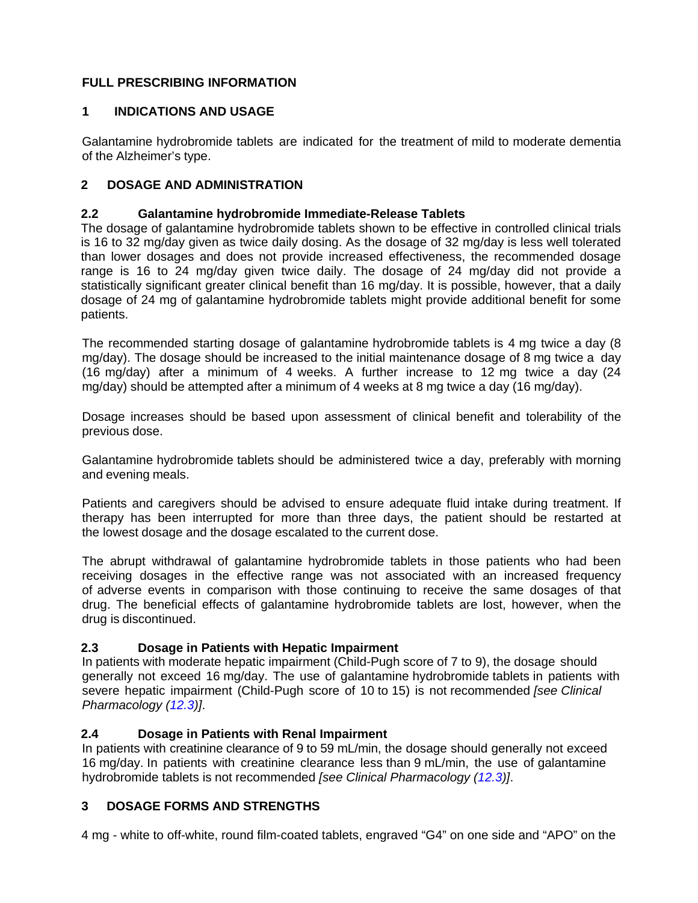# **FULL PRESCRIBING INFORMATION**

# <span id="page-2-0"></span>**1 INDICATIONS AND USAGE**

Galantamine hydrobromide tablets are indicated for the treatment of mild to moderate dementia of the Alzheimer's type.

# <span id="page-2-5"></span>**2 DOSAGE AND ADMINISTRATION**

# <span id="page-2-1"></span>**2.2 Galantamine hydrobromide Immediate-Release Tablets**

The dosage of galantamine hydrobromide tablets shown to be effective in controlled clinical trials is 16 to 32 mg/day given as twice daily dosing. As the dosage of 32 mg/day is less well tolerated than lower dosages and does not provide increased effectiveness, the recommended dosage range is 16 to 24 mg/day given twice daily. The dosage of 24 mg/day did not provide a statistically significant greater clinical benefit than 16 mg/day. It is possible, however, that a daily dosage of 24 mg of galantamine hydrobromide tablets might provide additional benefit for some patients.

The recommended starting dosage of galantamine hydrobromide tablets is 4 mg twice a day (8 mg/day). The dosage should be increased to the initial maintenance dosage of 8 mg twice a day (16 mg/day) after a minimum of 4 weeks. A further increase to 12 mg twice a day (24 mg/day) should be attempted after a minimum of 4 weeks at 8 mg twice a day (16 mg/day).

Dosage increases should be based upon assessment of clinical benefit and tolerability of the previous dose.

Galantamine hydrobromide tablets should be administered twice a day, preferably with morning and evening meals.

Patients and caregivers should be advised to ensure adequate fluid intake during treatment. If therapy has been interrupted for more than three days, the patient should be restarted at the lowest dosage and the dosage escalated to the current dose.

The abrupt withdrawal of galantamine hydrobromide tablets in those patients who had been receiving dosages in the effective range was not associated with an increased frequency of adverse events in comparison with those continuing to receive the same dosages of that drug. The beneficial effects of galantamine hydrobromide tablets are lost, however, when the drug is discontinued.

# <span id="page-2-2"></span>**2.3 Dosage in Patients with Hepatic Impairment**

In patients with moderate hepatic impairment (Child-Pugh score of 7 to 9), the dosage should generally not exceed 16 mg/day. The use of galantamine hydrobromide tablets in patients with severe hepatic impairment (Child-Pugh score of 10 to 15) is not recommended *[see Clinical Pharmacology [\(12.3\)](#page-9-3)]*.

# <span id="page-2-3"></span>**2.4 Dosage in Patients with Renal Impairment**

In patients with creatinine clearance of 9 to 59 mL/min, the dosage should generally not exceed 16 mg/day. In patients with creatinine clearance less than 9 mL/min, the use of galantamine hydrobromide tablets is not recommended *[see Clinical Pharmacology [\(12.3\)](#page-9-3)]*.

# <span id="page-2-4"></span>**3 DOSAGE FORMS AND STRENGTHS**

4 mg - white to off-white, round film-coated tablets, engraved "G4" on one side and "APO" on the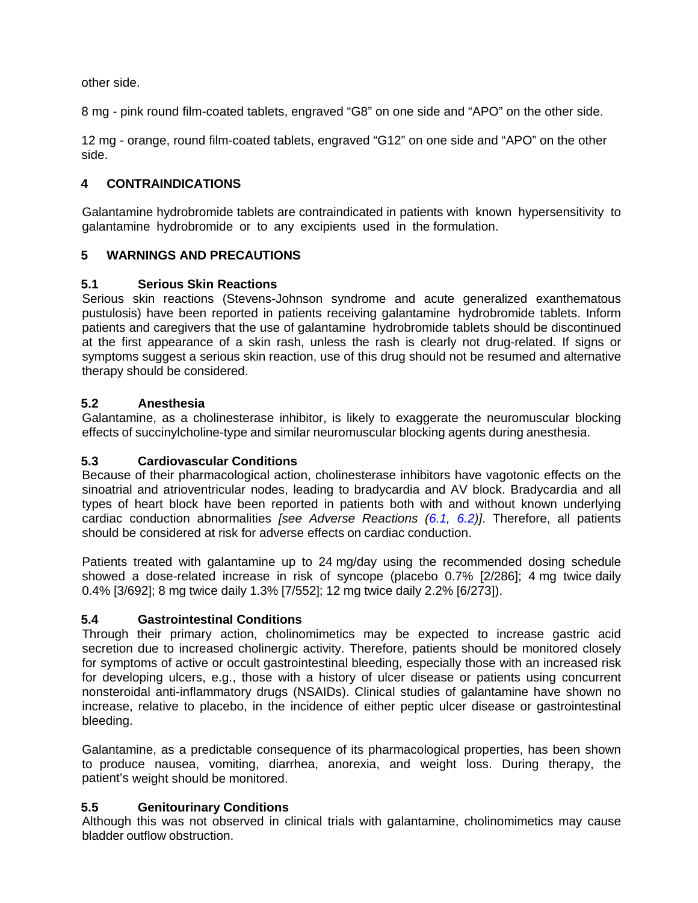other side.

8 mg - pink round film-coated tablets, engraved "G8" on one side and "APO" on the other side.

12 mg - orange, round film-coated tablets, engraved "G12" on one side and "APO" on the other side.

# <span id="page-3-0"></span>**4 CONTRAINDICATIONS**

Galantamine hydrobromide tablets are contraindicated in patients with known hypersensitivity to galantamine hydrobromide or to any excipients used in the formulation.

# <span id="page-3-5"></span>**5 WARNINGS AND PRECAUTIONS**

# <span id="page-3-1"></span>**5.1 Serious Skin Reactions**

Serious skin reactions (Stevens-Johnson syndrome and acute generalized exanthematous pustulosis) have been reported in patients receiving galantamine hydrobromide tablets. Inform patients and caregivers that the use of galantamine hydrobromide tablets should be discontinued at the first appearance of a skin rash, unless the rash is clearly not drug-related. If signs or symptoms suggest a serious skin reaction, use of this drug should not be resumed and alternative therapy should be considered.

# <span id="page-3-6"></span>**5.2 Anesthesia**

Galantamine, as a cholinesterase inhibitor, is likely to exaggerate the neuromuscular blocking effects of succinylcholine-type and similar neuromuscular blocking agents during anesthesia.

# <span id="page-3-2"></span>**5.3 Cardiovascular Conditions**

Because of their pharmacological action, cholinesterase inhibitors have vagotonic effects on the sinoatrial and atrioventricular nodes, leading to bradycardia and AV block. Bradycardia and all types of heart block have been reported in patients both with and without known underlying cardiac conduction abnormalities *[see Adverse Reactions [\(6.1,](#page-4-1) [6.2\)](#page-6-0)]*. Therefore, all patients should be considered at risk for adverse effects on cardiac conduction.

Patients treated with galantamine up to 24 mg/day using the recommended dosing schedule showed a dose-related increase in risk of syncope (placebo 0.7% [2/286]; 4 mg twice daily 0.4% [3/692]; 8 mg twice daily 1.3% [7/552]; 12 mg twice daily 2.2% [6/273]).

# <span id="page-3-3"></span>**5.4 Gastrointestinal Conditions**

Through their primary action, cholinomimetics may be expected to increase gastric acid secretion due to increased cholinergic activity. Therefore, patients should be monitored closely for symptoms of active or occult gastrointestinal bleeding, especially those with an increased risk for developing ulcers, e.g., those with a history of ulcer disease or patients using concurrent nonsteroidal anti-inflammatory drugs (NSAIDs). Clinical studies of galantamine have shown no increase, relative to placebo, in the incidence of either peptic ulcer disease or gastrointestinal bleeding.

Galantamine, as a predictable consequence of its pharmacological properties, has been shown to produce nausea, vomiting, diarrhea, anorexia, and weight loss. During therapy, the patient's weight should be monitored.

# <span id="page-3-4"></span>**5.5 Genitourinary Conditions**

Although this was not observed in clinical trials with galantamine, cholinomimetics may cause bladder outflow obstruction.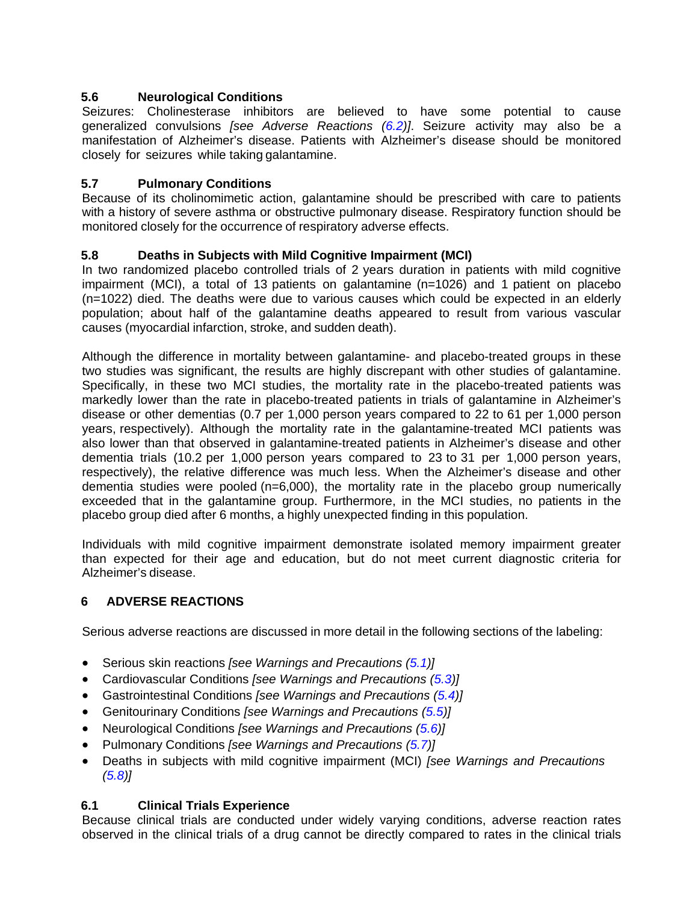# <span id="page-4-2"></span>**5.6 Neurological Conditions**

Seizures: Cholinesterase inhibitors are believed to have some potential to cause generalized convulsions *[see Adverse Reactions [\(6.2\)](#page-6-0)]*. Seizure activity may also be a manifestation of Alzheimer's disease. Patients with Alzheimer's disease should be monitored closely for seizures while taking galantamine.

# <span id="page-4-0"></span>**5.7 Pulmonary Conditions**

Because of its cholinomimetic action, galantamine should be prescribed with care to patients with a history of severe asthma or obstructive pulmonary disease. Respiratory function should be monitored closely for the occurrence of respiratory adverse effects.

# <span id="page-4-3"></span>**5.8 Deaths in Subjects with Mild Cognitive Impairment (MCI)**

In two randomized placebo controlled trials of 2 years duration in patients with mild cognitive impairment (MCI), a total of 13 patients on galantamine (n=1026) and 1 patient on placebo (n=1022) died. The deaths were due to various causes which could be expected in an elderly population; about half of the galantamine deaths appeared to result from various vascular causes (myocardial infarction, stroke, and sudden death).

Although the difference in mortality between galantamine- and placebo-treated groups in these two studies was significant, the results are highly discrepant with other studies of galantamine. Specifically, in these two MCI studies, the mortality rate in the placebo-treated patients was markedly lower than the rate in placebo-treated patients in trials of galantamine in Alzheimer's disease or other dementias (0.7 per 1,000 person years compared to 22 to 61 per 1,000 person years, respectively). Although the mortality rate in the galantamine-treated MCI patients was also lower than that observed in galantamine-treated patients in Alzheimer's disease and other dementia trials (10.2 per 1,000 person years compared to 23 to 31 per 1,000 person years, respectively), the relative difference was much less. When the Alzheimer's disease and other dementia studies were pooled (n=6,000), the mortality rate in the placebo group numerically exceeded that in the galantamine group. Furthermore, in the MCI studies, no patients in the placebo group died after 6 months, a highly unexpected finding in this population.

Individuals with mild cognitive impairment demonstrate isolated memory impairment greater than expected for their age and education, but do not meet current diagnostic criteria for Alzheimer's disease.

# <span id="page-4-4"></span>**6 ADVERSE REACTIONS**

Serious adverse reactions are discussed in more detail in the following sections of the labeling:

- Serious skin reactions *[see Warnings and Precautions [\(5.1\)](#page-3-1)]*
- Cardiovascular Conditions *[see Warnings and Precautions [\(5.3\)](#page-3-2)]*
- Gastrointestinal Conditions *[see Warnings and Precautions [\(5.4\)](#page-3-3)]*
- Genitourinary Conditions *[see Warnings and Precautions [\(5.5\)](#page-3-4)]*
- Neurological Conditions *[see Warnings and Precautions [\(5.6\)](#page-4-2)]*
- Pulmonary Conditions *[see Warnings and Precautions [\(5.7\)](#page-4-0)]*
- Deaths in subjects with mild cognitive impairment (MCI) *[see Warnings and Precautions [\(5.8\)](#page-4-3)]*

# <span id="page-4-1"></span>**6.1 Clinical Trials Experience**

Because clinical trials are conducted under widely varying conditions, adverse reaction rates observed in the clinical trials of a drug cannot be directly compared to rates in the clinical trials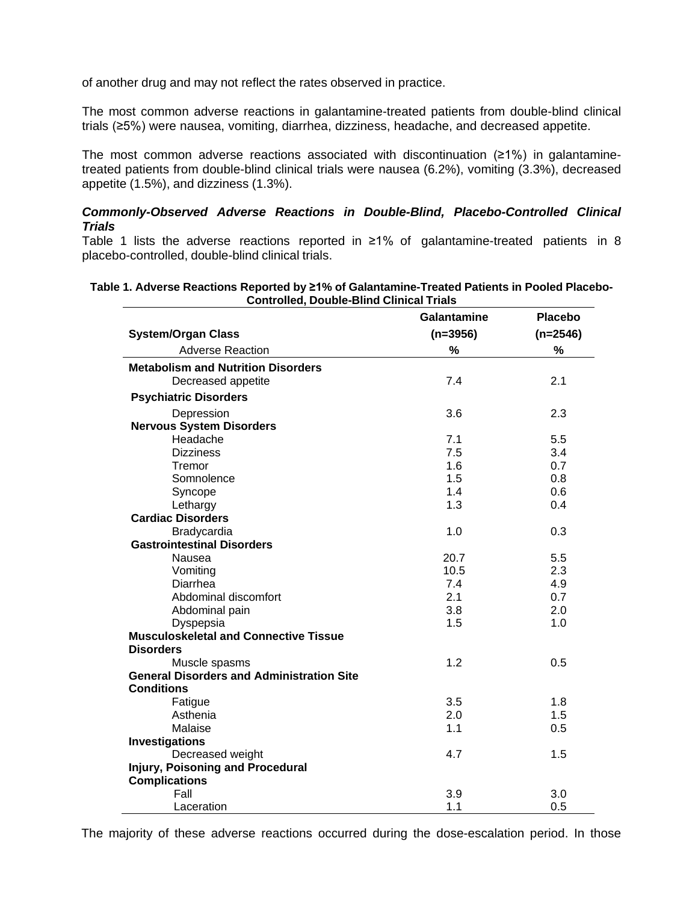of another drug and may not reflect the rates observed in practice.

The most common adverse reactions in galantamine-treated patients from double-blind clinical trials (≥5%) were nausea, vomiting, diarrhea, dizziness, headache, and decreased appetite.

The most common adverse reactions associated with discontinuation (≥1%) in galantaminetreated patients from double-blind clinical trials were nausea (6.2%), vomiting (3.3%), decreased appetite (1.5%), and dizziness (1.3%).

# *Commonly-Observed Adverse Reactions in Double-Blind, Placebo-Controlled Clinical Trials*

Table 1 lists the adverse reactions reported in ≥1% of galantamine-treated patients in 8 placebo-controlled, double-blind clinical trials.

| Table 1. Adverse Reactions Reported by ≥1% of Galantamine-Treated Patients in Pooled Placebo- |  |
|-----------------------------------------------------------------------------------------------|--|
| <b>Controlled, Double-Blind Clinical Trials</b>                                               |  |

|                                                  | <b>Galantamine</b> | <b>Placebo</b> |
|--------------------------------------------------|--------------------|----------------|
| <b>System/Organ Class</b>                        | $(n=3956)$         | $(n=2546)$     |
| <b>Adverse Reaction</b>                          | %                  | %              |
| <b>Metabolism and Nutrition Disorders</b>        |                    |                |
| Decreased appetite                               | 7.4                | 2.1            |
| <b>Psychiatric Disorders</b>                     |                    |                |
| Depression                                       | 3.6                | 2.3            |
| <b>Nervous System Disorders</b>                  |                    |                |
| Headache                                         | 7.1                | 5.5            |
| <b>Dizziness</b>                                 | 7.5                | 3.4            |
| Tremor                                           | 1.6                | 0.7            |
| Somnolence                                       | 1.5                | 0.8            |
| Syncope                                          | 1.4                | 0.6            |
| Lethargy                                         | 1.3                | 0.4            |
| <b>Cardiac Disorders</b>                         |                    |                |
| Bradycardia                                      | 1.0                | 0.3            |
| <b>Gastrointestinal Disorders</b>                |                    |                |
| Nausea                                           | 20.7               | 5.5            |
| Vomiting                                         | 10.5               | 2.3            |
| Diarrhea                                         | 7.4                | 4.9            |
| Abdominal discomfort                             | 2.1                | 0.7            |
| Abdominal pain                                   | 3.8                | 2.0            |
| Dyspepsia                                        | 1.5                | 1.0            |
| <b>Musculoskeletal and Connective Tissue</b>     |                    |                |
| <b>Disorders</b>                                 |                    |                |
| Muscle spasms                                    | 1.2                | 0.5            |
| <b>General Disorders and Administration Site</b> |                    |                |
| <b>Conditions</b>                                |                    |                |
| Fatigue                                          | 3.5                | 1.8            |
| Asthenia                                         | 2.0                | 1.5            |
| Malaise                                          | 1.1                | 0.5            |
| Investigations                                   |                    |                |
| Decreased weight                                 | 4.7                | 1.5            |
| <b>Injury, Poisoning and Procedural</b>          |                    |                |
| <b>Complications</b>                             |                    |                |
| Fall                                             | 3.9                | 3.0            |
| Laceration                                       | 1.1                | 0.5            |

The majority of these adverse reactions occurred during the dose-escalation period. In those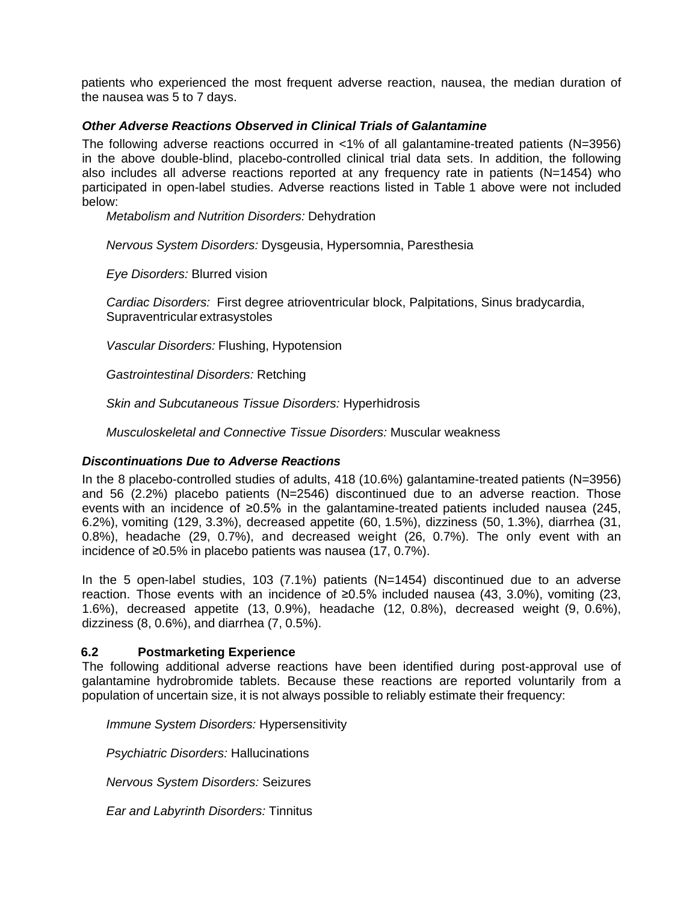patients who experienced the most frequent adverse reaction, nausea, the median duration of the nausea was 5 to 7 days.

### *Other Adverse Reactions Observed in Clinical Trials of Galantamine*

The following adverse reactions occurred in <1% of all galantamine-treated patients (N=3956) in the above double-blind, placebo-controlled clinical trial data sets. In addition, the following also includes all adverse reactions reported at any frequency rate in patients (N=1454) who participated in open-label studies. Adverse reactions listed in Table 1 above were not included below:

*Metabolism and Nutrition Disorders:* Dehydration

*Nervous System Disorders:* Dysgeusia, Hypersomnia, Paresthesia

*Eye Disorders:* Blurred vision

*Cardiac Disorders:* First degree atrioventricular block, Palpitations, Sinus bradycardia, Supraventricular extrasystoles

*Vascular Disorders:* Flushing, Hypotension

*Gastrointestinal Disorders:* Retching

*Skin and Subcutaneous Tissue Disorders:* Hyperhidrosis

*Musculoskeletal and Connective Tissue Disorders:* Muscular weakness

#### *Discontinuations Due to Adverse Reactions*

In the 8 placebo-controlled studies of adults, 418 (10.6%) galantamine-treated patients (N=3956) and 56 (2.2%) placebo patients (N=2546) discontinued due to an adverse reaction. Those events with an incidence of ≥0.5% in the galantamine-treated patients included nausea (245, 6.2%), vomiting (129, 3.3%), decreased appetite (60, 1.5%), dizziness (50, 1.3%), diarrhea (31, 0.8%), headache (29, 0.7%), and decreased weight (26, 0.7%). The only event with an incidence of ≥0.5% in placebo patients was nausea (17, 0.7%).

In the 5 open-label studies, 103 (7.1%) patients (N=1454) discontinued due to an adverse reaction. Those events with an incidence of ≥0.5% included nausea (43, 3.0%), vomiting (23, 1.6%), decreased appetite (13, 0.9%), headache (12, 0.8%), decreased weight (9, 0.6%), dizziness (8, 0.6%), and diarrhea (7, 0.5%).

#### <span id="page-6-0"></span>**6.2 Postmarketing Experience**

The following additional adverse reactions have been identified during post-approval use of galantamine hydrobromide tablets. Because these reactions are reported voluntarily from a population of uncertain size, it is not always possible to reliably estimate their frequency:

*Immune System Disorders:* Hypersensitivity

*Psychiatric Disorders:* Hallucinations

*Nervous System Disorders:* Seizures

*Ear and Labyrinth Disorders:* Tinnitus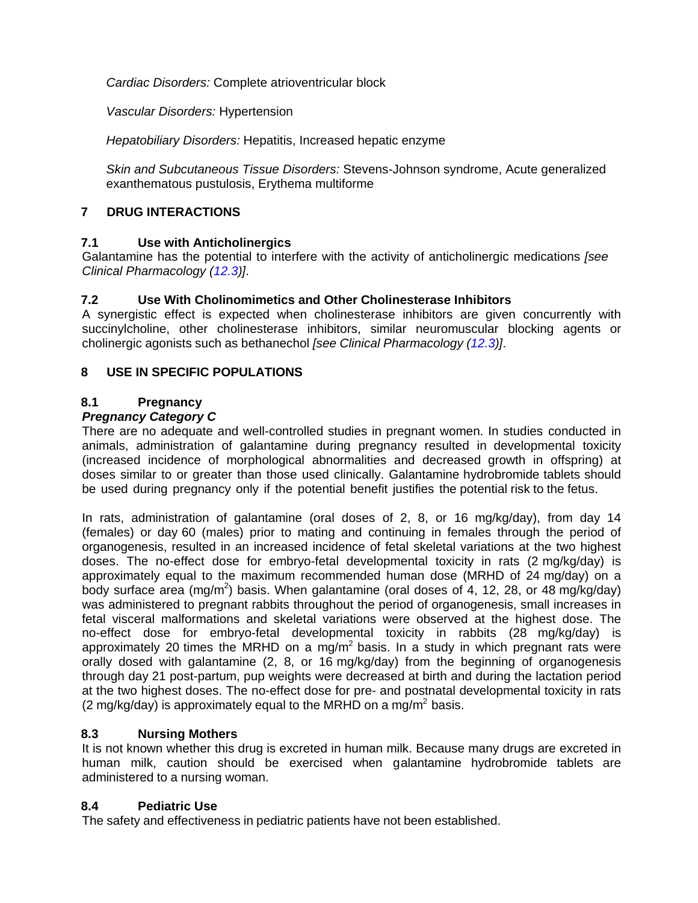*Cardiac Disorders:* Complete atrioventricular block

*Vascular Disorders:* Hypertension

*Hepatobiliary Disorders:* Hepatitis, Increased hepatic enzyme

*Skin and Subcutaneous Tissue Disorders:* Stevens-Johnson syndrome, Acute generalized exanthematous pustulosis, Erythema multiforme

# <span id="page-7-3"></span>**7 DRUG INTERACTIONS**

# <span id="page-7-0"></span>**7.1 Use with Anticholinergics**

Galantamine has the potential to interfere with the activity of anticholinergic medications *[see Clinical Pharmacology [\(12.3\)](#page-9-3)]*.

# <span id="page-7-1"></span>**7.2 Use With Cholinomimetics and Other Cholinesterase Inhibitors**

A synergistic effect is expected when cholinesterase inhibitors are given concurrently with succinylcholine, other cholinesterase inhibitors, similar neuromuscular blocking agents or cholinergic agonists such as bethanechol *[see Clinical Pharmacology [\(12.3\)](#page-9-3)]*.

# <span id="page-7-4"></span>**8 USE IN SPECIFIC POPULATIONS**

# <span id="page-7-2"></span>**8.1 Pregnancy**

# *Pregnancy Category C*

There are no adequate and well-controlled studies in pregnant women. In studies conducted in animals, administration of galantamine during pregnancy resulted in developmental toxicity (increased incidence of morphological abnormalities and decreased growth in offspring) at doses similar to or greater than those used clinically. Galantamine hydrobromide tablets should be used during pregnancy only if the potential benefit justifies the potential risk to the fetus.

In rats, administration of galantamine (oral doses of 2, 8, or 16 mg/kg/day), from day 14 (females) or day 60 (males) prior to mating and continuing in females through the period of organogenesis, resulted in an increased incidence of fetal skeletal variations at the two highest doses. The no-effect dose for embryo-fetal developmental toxicity in rats (2 mg/kg/day) is approximately equal to the maximum recommended human dose (MRHD of 24 mg/day) on a body surface area (mg/m<sup>2</sup>) basis. When galantamine (oral doses of 4, 12, 28, or 48 mg/kg/day) was administered to pregnant rabbits throughout the period of organogenesis, small increases in fetal visceral malformations and skeletal variations were observed at the highest dose. The no-effect dose for embryo-fetal developmental toxicity in rabbits (28 mg/kg/day) is approximately 20 times the MRHD on a mg/m<sup>2</sup> basis. In a study in which pregnant rats were orally dosed with galantamine (2, 8, or 16 mg/kg/day) from the beginning of organogenesis through day 21 post-partum, pup weights were decreased at birth and during the lactation period at the two highest doses. The no-effect dose for pre- and postnatal developmental toxicity in rats (2 mg/kg/day) is approximately equal to the MRHD on a mg/m<sup>2</sup> basis.

# <span id="page-7-5"></span>**8.3 Nursing Mothers**

It is not known whether this drug is excreted in human milk. Because many drugs are excreted in human milk, caution should be exercised when galantamine hydrobromide tablets are administered to a nursing woman.

# <span id="page-7-6"></span>**8.4 Pediatric Use**

The safety and effectiveness in pediatric patients have not been established.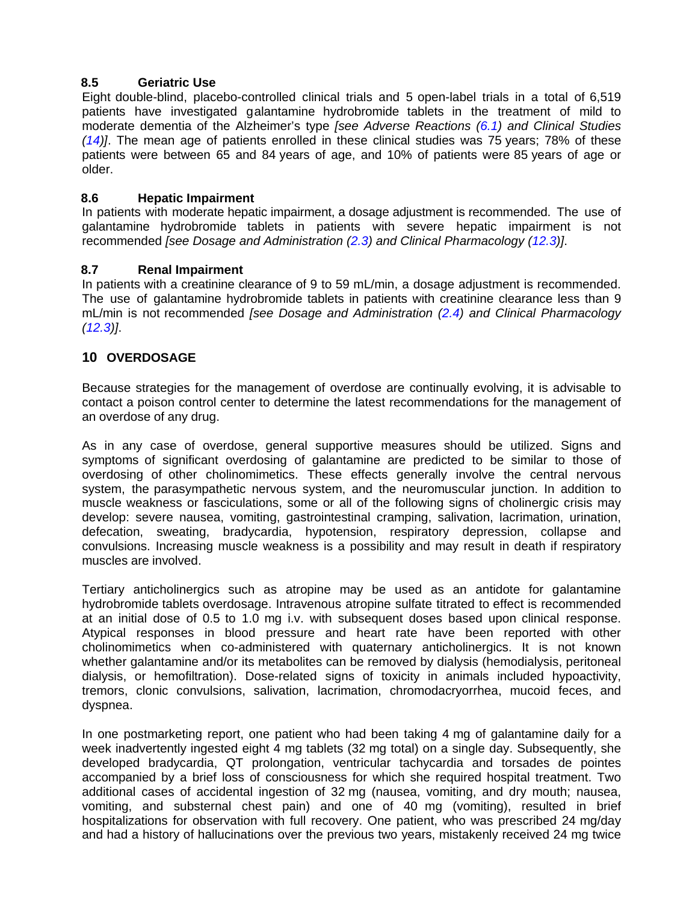# <span id="page-8-0"></span>**8.5 Geriatric Use**

Eight double-blind, placebo-controlled clinical trials and 5 open-label trials in a total of 6,519 patients have investigated galantamine hydrobromide tablets in the treatment of mild to moderate dementia of the Alzheimer's type *[see Adverse Reactions [\(6.1\)](#page-4-1) and Clinical Studies [\(14\)](#page-12-2)]*. The mean age of patients enrolled in these clinical studies was 75 years; 78% of these patients were between 65 and 84 years of age, and 10% of patients were 85 years of age or older.

# <span id="page-8-1"></span>**8.6 Hepatic Impairment**

In patients with moderate hepatic impairment, a dosage adjustment is recommended. The use of galantamine hydrobromide tablets in patients with severe hepatic impairment is not recommended *[see Dosage and Administration [\(2.3\)](#page-2-2) and Clinical Pharmacology [\(12.3\)](#page-9-3)]*.

# <span id="page-8-2"></span>**8.7 Renal Impairment**

In patients with a creatinine clearance of 9 to 59 mL/min, a dosage adjustment is recommended. The use of galantamine hydrobromide tablets in patients with creatinine clearance less than 9 mL/min is not recommended *[see Dosage and Administration [\(2.4\)](#page-2-3) and Clinical Pharmacology [\(12.3\)](#page-9-3)]*.

# <span id="page-8-3"></span>**10 OVERDOSAGE**

Because strategies for the management of overdose are continually evolving, it is advisable to contact a poison control center to determine the latest recommendations for the management of an overdose of any drug.

As in any case of overdose, general supportive measures should be utilized. Signs and symptoms of significant overdosing of galantamine are predicted to be similar to those of overdosing of other cholinomimetics. These effects generally involve the central nervous system, the parasympathetic nervous system, and the neuromuscular junction. In addition to muscle weakness or fasciculations, some or all of the following signs of cholinergic crisis may develop: severe nausea, vomiting, gastrointestinal cramping, salivation, lacrimation, urination, defecation, sweating, bradycardia, hypotension, respiratory depression, collapse and convulsions. Increasing muscle weakness is a possibility and may result in death if respiratory muscles are involved.

Tertiary anticholinergics such as atropine may be used as an antidote for galantamine hydrobromide tablets overdosage. Intravenous atropine sulfate titrated to effect is recommended at an initial dose of 0.5 to 1.0 mg i.v. with subsequent doses based upon clinical response. Atypical responses in blood pressure and heart rate have been reported with other cholinomimetics when co-administered with quaternary anticholinergics. It is not known whether galantamine and/or its metabolites can be removed by dialysis (hemodialysis, peritoneal dialysis, or hemofiltration). Dose-related signs of toxicity in animals included hypoactivity, tremors, clonic convulsions, salivation, lacrimation, chromodacryorrhea, mucoid feces, and dyspnea.

In one postmarketing report, one patient who had been taking 4 mg of galantamine daily for a week inadvertently ingested eight 4 mg tablets (32 mg total) on a single day. Subsequently, she developed bradycardia, QT prolongation, ventricular tachycardia and torsades de pointes accompanied by a brief loss of consciousness for which she required hospital treatment. Two additional cases of accidental ingestion of 32 mg (nausea, vomiting, and dry mouth; nausea, vomiting, and substernal chest pain) and one of 40 mg (vomiting), resulted in brief hospitalizations for observation with full recovery. One patient, who was prescribed 24 mg/day and had a history of hallucinations over the previous two years, mistakenly received 24 mg twice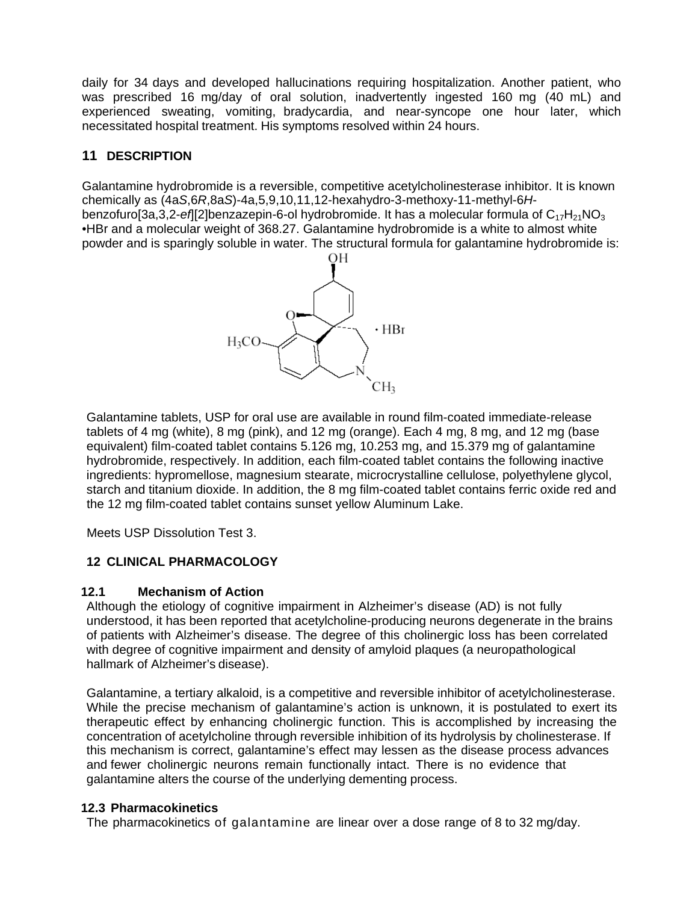daily for 34 days and developed hallucinations requiring hospitalization. Another patient, who was prescribed 16 mg/day of oral solution, inadvertently ingested 160 mg (40 mL) and experienced sweating, vomiting, bradycardia, and near-syncope one hour later, which necessitated hospital treatment. His symptoms resolved within 24 hours.

# <span id="page-9-0"></span>**11 DESCRIPTION**

Galantamine hydrobromide is a reversible, competitive acetylcholinesterase inhibitor. It is known chemically as (4a*S*,6*R*,8a*S*)-4a,5,9,10,11,12-hexahydro-3-methoxy-11-methyl-6*H*benzofuro[3a,3,2-ef][2]benzazepin-6-ol hydrobromide. It has a molecular formula of C<sub>17</sub>H<sub>21</sub>NO<sub>3</sub> •HBr and a molecular weight of 368.27. Galantamine hydrobromide is a white to almost white powder and is sparingly soluble in water. The structural formula for galantamine hydrobromide is:



Galantamine tablets, USP for oral use are available in round film-coated immediate-release tablets of 4 mg (white), 8 mg (pink), and 12 mg (orange). Each 4 mg, 8 mg, and 12 mg (base equivalent) film-coated tablet contains 5.126 mg, 10.253 mg, and 15.379 mg of galantamine hydrobromide, respectively. In addition, each film-coated tablet contains the following inactive ingredients: hypromellose, magnesium stearate, microcrystalline cellulose, polyethylene glycol, starch and titanium dioxide. In addition, the 8 mg film-coated tablet contains ferric oxide red and the 12 mg film-coated tablet contains sunset yellow Aluminum Lake.

Meets USP Dissolution Test 3.

# <span id="page-9-1"></span>**12 CLINICAL PHARMACOLOGY**

# <span id="page-9-2"></span>**12.1 Mechanism of Action**

Although the etiology of cognitive impairment in Alzheimer's disease (AD) is not fully understood, it has been reported that acetylcholine-producing neurons degenerate in the brains of patients with Alzheimer's disease. The degree of this cholinergic loss has been correlated with degree of cognitive impairment and density of amyloid plaques (a neuropathological hallmark of Alzheimer's disease).

Galantamine, a tertiary alkaloid, is a competitive and reversible inhibitor of acetylcholinesterase. While the precise mechanism of galantamine's action is unknown, it is postulated to exert its therapeutic effect by enhancing cholinergic function. This is accomplished by increasing the concentration of acetylcholine through reversible inhibition of its hydrolysis by cholinesterase. If this mechanism is correct, galantamine's effect may lessen as the disease process advances and fewer cholinergic neurons remain functionally intact. There is no evidence that galantamine alters the course of the underlying dementing process.

#### <span id="page-9-3"></span>**12.3 Pharmacokinetics**

The pharmacokinetics of galantamine are linear over a dose range of 8 to 32 mg/day.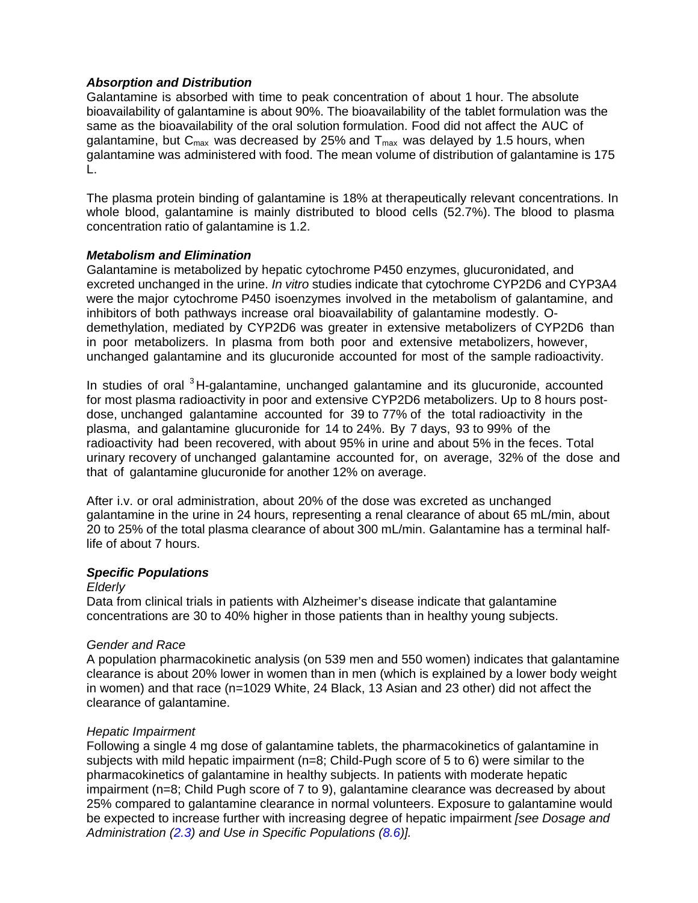### *Absorption and Distribution*

Galantamine is absorbed with time to peak concentration of about 1 hour. The absolute bioavailability of galantamine is about 90%. The bioavailability of the tablet formulation was the same as the bioavailability of the oral solution formulation. Food did not affect the AUC of galantamine, but  $C_{\text{max}}$  was decreased by 25% and  $T_{\text{max}}$  was delayed by 1.5 hours, when galantamine was administered with food. The mean volume of distribution of galantamine is 175 L.

The plasma protein binding of galantamine is 18% at therapeutically relevant concentrations. In whole blood, galantamine is mainly distributed to blood cells (52.7%). The blood to plasma concentration ratio of galantamine is 1.2.

### *Metabolism and Elimination*

Galantamine is metabolized by hepatic cytochrome P450 enzymes, glucuronidated, and excreted unchanged in the urine. *In vitro* studies indicate that cytochrome CYP2D6 and CYP3A4 were the major cytochrome P450 isoenzymes involved in the metabolism of galantamine, and inhibitors of both pathways increase oral bioavailability of galantamine modestly. Odemethylation, mediated by CYP2D6 was greater in extensive metabolizers of CYP2D6 than in poor metabolizers. In plasma from both poor and extensive metabolizers, however, unchanged galantamine and its glucuronide accounted for most of the sample radioactivity.

In studies of oral  $3H$ -galantamine, unchanged galantamine and its glucuronide, accounted for most plasma radioactivity in poor and extensive CYP2D6 metabolizers. Up to 8 hours postdose, unchanged galantamine accounted for 39 to 77% of the total radioactivity in the plasma, and galantamine glucuronide for 14 to 24%. By 7 days, 93 to 99% of the radioactivity had been recovered, with about 95% in urine and about 5% in the feces. Total urinary recovery of unchanged galantamine accounted for, on average, 32% of the dose and that of galantamine glucuronide for another 12% on average.

After i.v. or oral administration, about 20% of the dose was excreted as unchanged galantamine in the urine in 24 hours, representing a renal clearance of about 65 mL/min, about 20 to 25% of the total plasma clearance of about 300 mL/min. Galantamine has a terminal halflife of about 7 hours.

#### *Specific Populations*

#### *Elderly*

Data from clinical trials in patients with Alzheimer's disease indicate that galantamine concentrations are 30 to 40% higher in those patients than in healthy young subjects.

#### *Gender and Race*

A population pharmacokinetic analysis (on 539 men and 550 women) indicates that galantamine clearance is about 20% lower in women than in men (which is explained by a lower body weight in women) and that race (n=1029 White, 24 Black, 13 Asian and 23 other) did not affect the clearance of galantamine.

#### *Hepatic Impairment*

Following a single 4 mg dose of galantamine tablets, the pharmacokinetics of galantamine in subjects with mild hepatic impairment (n=8; Child-Pugh score of 5 to 6) were similar to the pharmacokinetics of galantamine in healthy subjects. In patients with moderate hepatic impairment (n=8; Child Pugh score of 7 to 9), galantamine clearance was decreased by about 25% compared to galantamine clearance in normal volunteers. Exposure to galantamine would be expected to increase further with increasing degree of hepatic impairment *[see Dosage and Administration [\(2.3\)](#page-2-2) and Use in Specific Populations [\(8.6\)](#page-8-1)].*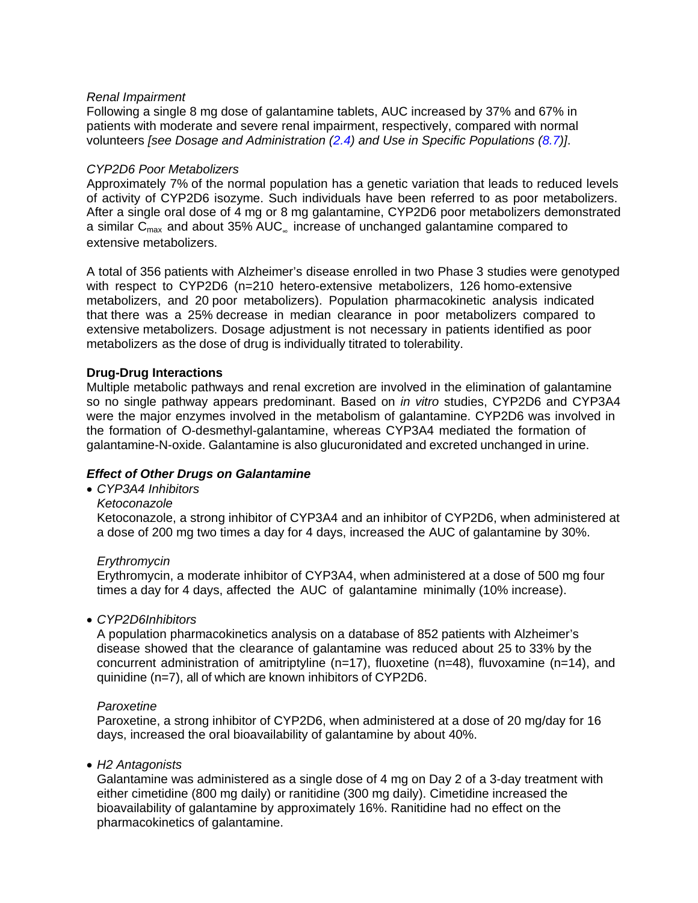### *Renal Impairment*

Following a single 8 mg dose of galantamine tablets, AUC increased by 37% and 67% in patients with moderate and severe renal impairment, respectively, compared with normal volunteers *[see Dosage and Administration [\(2.4\)](#page-2-3) and Use in Specific Populations [\(8.7\)](#page-8-2)]*.

#### *CYP2D6 Poor Metabolizers*

Approximately 7% of the normal population has a genetic variation that leads to reduced levels of activity of CYP2D6 isozyme. Such individuals have been referred to as poor metabolizers. After a single oral dose of 4 mg or 8 mg galantamine, CYP2D6 poor metabolizers demonstrated a similar  $C_{\text{max}}$  and about 35% AUC<sub>∞</sub> increase of unchanged galantamine compared to extensive metabolizers.

A total of 356 patients with Alzheimer's disease enrolled in two Phase 3 studies were genotyped with respect to CYP2D6 (n=210 hetero-extensive metabolizers, 126 homo-extensive metabolizers, and 20 poor metabolizers). Population pharmacokinetic analysis indicated that there was a 25% decrease in median clearance in poor metabolizers compared to extensive metabolizers. Dosage adjustment is not necessary in patients identified as poor metabolizers as the dose of drug is individually titrated to tolerability.

### **Drug-Drug Interactions**

Multiple metabolic pathways and renal excretion are involved in the elimination of galantamine so no single pathway appears predominant. Based on *in vitro* studies, CYP2D6 and CYP3A4 were the major enzymes involved in the metabolism of galantamine. CYP2D6 was involved in the formation of O-desmethyl-galantamine, whereas CYP3A4 mediated the formation of galantamine-N-oxide. Galantamine is also glucuronidated and excreted unchanged in urine.

# *Effect of Other Drugs on Galantamine*

- *CYP3A4 Inhibitors*
	- *Ketoconazole*

Ketoconazole, a strong inhibitor of CYP3A4 and an inhibitor of CYP2D6, when administered at a dose of 200 mg two times a day for 4 days, increased the AUC of galantamine by 30%.

#### *Erythromycin*

Erythromycin, a moderate inhibitor of CYP3A4, when administered at a dose of 500 mg four times a day for 4 days, affected the AUC of galantamine minimally (10% increase).

#### • *CYP2D6Inhibitors*

A population pharmacokinetics analysis on a database of 852 patients with Alzheimer's disease showed that the clearance of galantamine was reduced about 25 to 33% by the concurrent administration of amitriptyline (n=17), fluoxetine (n=48), fluvoxamine (n=14), and quinidine (n=7), all of which are known inhibitors of CYP2D6.

#### *Paroxetine*

Paroxetine, a strong inhibitor of CYP2D6, when administered at a dose of 20 mg/day for 16 days, increased the oral bioavailability of galantamine by about 40%.

#### • *H2 Antagonists*

Galantamine was administered as a single dose of 4 mg on Day 2 of a 3-day treatment with either cimetidine (800 mg daily) or ranitidine (300 mg daily). Cimetidine increased the bioavailability of galantamine by approximately 16%. Ranitidine had no effect on the pharmacokinetics of galantamine.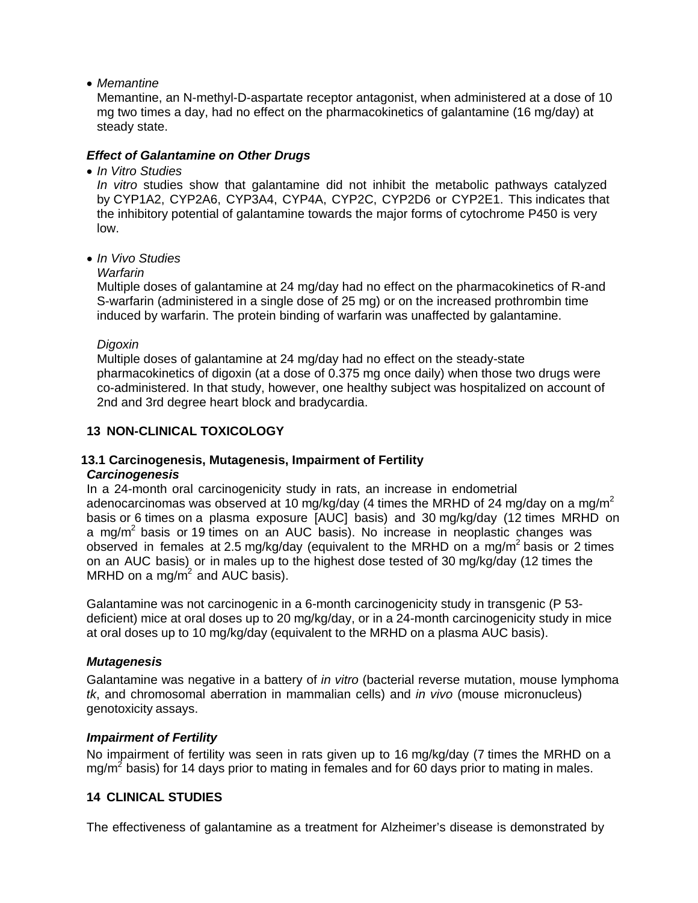• *Memantine*

Memantine, an N-methyl-D-aspartate receptor antagonist, when administered at a dose of 10 mg two times a day, had no effect on the pharmacokinetics of galantamine (16 mg/day) at steady state.

# *Effect of Galantamine on Other Drugs*

• *In Vitro Studies*

*In vitro* studies show that galantamine did not inhibit the metabolic pathways catalyzed by CYP1A2, CYP2A6, CYP3A4, CYP4A, CYP2C, CYP2D6 or CYP2E1. This indicates that the inhibitory potential of galantamine towards the major forms of cytochrome P450 is very low.

• *In Vivo Studies* 

### *Warfarin*

Multiple doses of galantamine at 24 mg/day had no effect on the pharmacokinetics of R-and S-warfarin (administered in a single dose of 25 mg) or on the increased prothrombin time induced by warfarin. The protein binding of warfarin was unaffected by galantamine.

### *Digoxin*

Multiple doses of galantamine at 24 mg/day had no effect on the steady-state pharmacokinetics of digoxin (at a dose of 0.375 mg once daily) when those two drugs were co-administered. In that study, however, one healthy subject was hospitalized on account of 2nd and 3rd degree heart block and bradycardia.

# <span id="page-12-0"></span>**13 NON-CLINICAL TOXICOLOGY**

# <span id="page-12-1"></span>**13.1 Carcinogenesis, Mutagenesis, Impairment of Fertility**

# *Carcinogenesis*

In a 24-month oral carcinogenicity study in rats, an increase in endometrial adenocarcinomas was observed at 10 mg/kg/day (4 times the MRHD of 24 mg/day on a mg/m<sup>2</sup> basis or 6 times on a plasma exposure [AUC] basis) and 30 mg/kg/day (12 times MRHD on a mg/ $m^2$  basis or 19 times on an AUC basis). No increase in neoplastic changes was observed in females at 2.5 mg/kg/day (equivalent to the MRHD on a mg/m<sup>2</sup> basis or 2 times on an AUC basis) or in males up to the highest dose tested of 30 mg/kg/day (12 times the MRHD on a mg/m<sup>2</sup> and AUC basis).

Galantamine was not carcinogenic in a 6-month carcinogenicity study in transgenic (P 53 deficient) mice at oral doses up to 20 mg/kg/day, or in a 24-month carcinogenicity study in mice at oral doses up to 10 mg/kg/day (equivalent to the MRHD on a plasma AUC basis).

# *Mutagenesis*

Galantamine was negative in a battery of *in vitro* (bacterial reverse mutation, mouse lymphoma *tk*, and chromosomal aberration in mammalian cells) and *in vivo* (mouse micronucleus) genotoxicity assays.

# *Impairment of Fertility*

No impairment of fertility was seen in rats given up to 16 mg/kg/day (7 times the MRHD on a mg/ $m^2$  basis) for 14 days prior to mating in females and for 60 days prior to mating in males.

# <span id="page-12-2"></span>**14 CLINICAL STUDIES**

The effectiveness of galantamine as a treatment for Alzheimer's disease is demonstrated by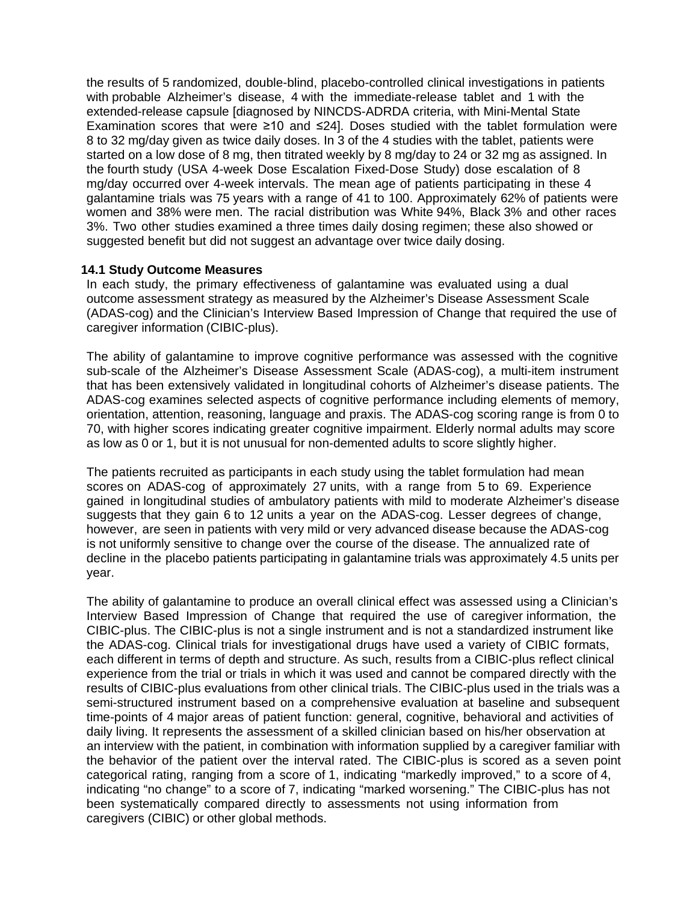the results of 5 randomized, double-blind, placebo-controlled clinical investigations in patients with probable Alzheimer's disease, 4 with the immediate-release tablet and 1 with the extended-release capsule [diagnosed by NINCDS-ADRDA criteria, with Mini-Mental State Examination scores that were ≥10 and ≤24]. Doses studied with the tablet formulation were 8 to 32 mg/day given as twice daily doses. In 3 of the 4 studies with the tablet, patients were started on a low dose of 8 mg, then titrated weekly by 8 mg/day to 24 or 32 mg as assigned. In the fourth study (USA 4-week Dose Escalation Fixed-Dose Study) dose escalation of 8 mg/day occurred over 4-week intervals. The mean age of patients participating in these 4 galantamine trials was 75 years with a range of 41 to 100. Approximately 62% of patients were women and 38% were men. The racial distribution was White 94%, Black 3% and other races 3%. Two other studies examined a three times daily dosing regimen; these also showed or suggested benefit but did not suggest an advantage over twice daily dosing.

#### <span id="page-13-0"></span>**14.1 Study Outcome Measures**

In each study, the primary effectiveness of galantamine was evaluated using a dual outcome assessment strategy as measured by the Alzheimer's Disease Assessment Scale (ADAS-cog) and the Clinician's Interview Based Impression of Change that required the use of caregiver information (CIBIC-plus).

The ability of galantamine to improve cognitive performance was assessed with the cognitive sub-scale of the Alzheimer's Disease Assessment Scale (ADAS-cog), a multi-item instrument that has been extensively validated in longitudinal cohorts of Alzheimer's disease patients. The ADAS-cog examines selected aspects of cognitive performance including elements of memory, orientation, attention, reasoning, language and praxis. The ADAS-cog scoring range is from 0 to 70, with higher scores indicating greater cognitive impairment. Elderly normal adults may score as low as 0 or 1, but it is not unusual for non-demented adults to score slightly higher.

The patients recruited as participants in each study using the tablet formulation had mean scores on ADAS-cog of approximately 27 units, with a range from 5 to 69. Experience gained in longitudinal studies of ambulatory patients with mild to moderate Alzheimer's disease suggests that they gain 6 to 12 units a year on the ADAS-cog. Lesser degrees of change, however, are seen in patients with very mild or very advanced disease because the ADAS-cog is not uniformly sensitive to change over the course of the disease. The annualized rate of decline in the placebo patients participating in galantamine trials was approximately 4.5 units per year.

The ability of galantamine to produce an overall clinical effect was assessed using a Clinician's Interview Based Impression of Change that required the use of caregiver information, the CIBIC-plus. The CIBIC-plus is not a single instrument and is not a standardized instrument like the ADAS-cog. Clinical trials for investigational drugs have used a variety of CIBIC formats, each different in terms of depth and structure. As such, results from a CIBIC-plus reflect clinical experience from the trial or trials in which it was used and cannot be compared directly with the results of CIBIC-plus evaluations from other clinical trials. The CIBIC-plus used in the trials was a semi-structured instrument based on a comprehensive evaluation at baseline and subsequent time-points of 4 major areas of patient function: general, cognitive, behavioral and activities of daily living. It represents the assessment of a skilled clinician based on his/her observation at an interview with the patient, in combination with information supplied by a caregiver familiar with the behavior of the patient over the interval rated. The CIBIC-plus is scored as a seven point categorical rating, ranging from a score of 1, indicating "markedly improved," to a score of 4, indicating "no change" to a score of 7, indicating "marked worsening." The CIBIC-plus has not been systematically compared directly to assessments not using information from caregivers (CIBIC) or other global methods.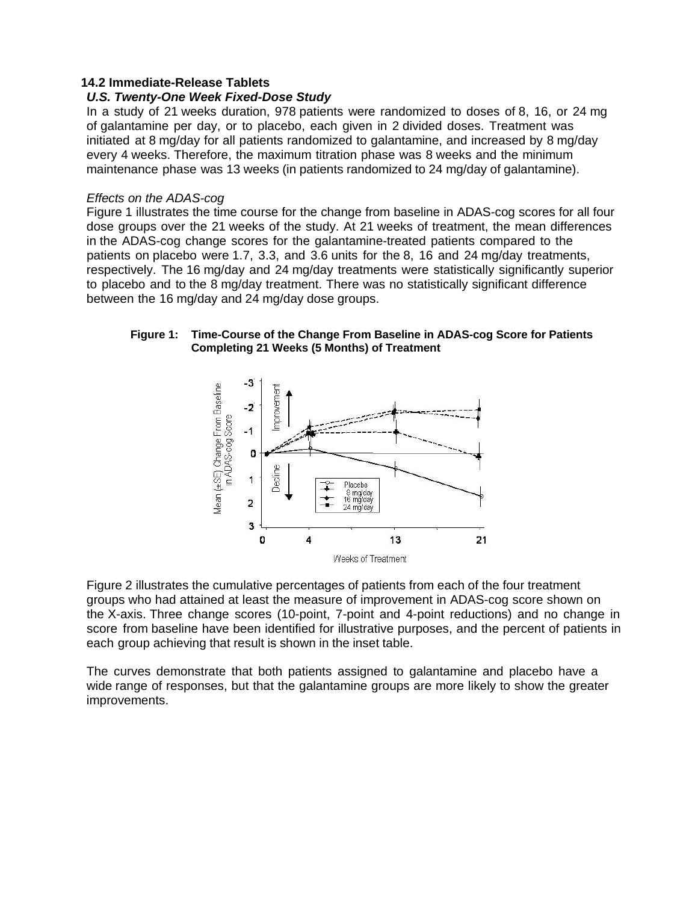#### <span id="page-14-0"></span>**14.2 Immediate-Release Tablets**

#### *U.S. Twenty-One Week Fixed-Dose Study*

In a study of 21 weeks duration, 978 patients were randomized to doses of 8, 16, or 24 mg of galantamine per day, or to placebo, each given in 2 divided doses. Treatment was initiated at 8 mg/day for all patients randomized to galantamine, and increased by 8 mg/day every 4 weeks. Therefore, the maximum titration phase was 8 weeks and the minimum maintenance phase was 13 weeks (in patients randomized to 24 mg/day of galantamine).

#### *Effects on the ADAS-cog*

Figure 1 illustrates the time course for the change from baseline in ADAS-cog scores for all four dose groups over the 21 weeks of the study. At 21 weeks of treatment, the mean differences in the ADAS-cog change scores for the galantamine-treated patients compared to the patients on placebo were 1.7, 3.3, and 3.6 units for the 8, 16 and 24 mg/day treatments, respectively. The 16 mg/day and 24 mg/day treatments were statistically significantly superior to placebo and to the 8 mg/day treatment. There was no statistically significant difference between the 16 mg/day and 24 mg/day dose groups.

#### **Figure 1: Time-Course of the Change From Baseline in ADAS-cog Score for Patients Completing 21 Weeks (5 Months) of Treatment**



Figure 2 illustrates the cumulative percentages of patients from each of the four treatment groups who had attained at least the measure of improvement in ADAS-cog score shown on the X-axis. Three change scores (10-point, 7-point and 4-point reductions) and no change in score from baseline have been identified for illustrative purposes, and the percent of patients in each group achieving that result is shown in the inset table.

The curves demonstrate that both patients assigned to galantamine and placebo have a wide range of responses, but that the galantamine groups are more likely to show the greater improvements.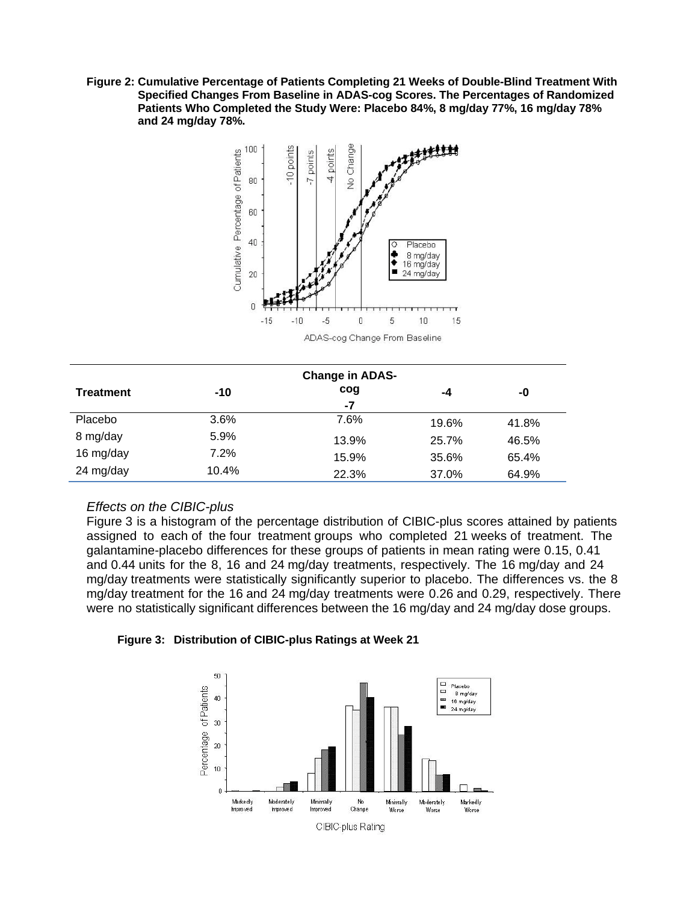**Figure 2: Cumulative Percentage of Patients Completing 21 Weeks of Double-Blind Treatment With Specified Changes From Baseline in ADAS-cog Scores. The Percentages of Randomized Patients Who Completed the Study Were: Placebo 84%, 8 mg/day 77%, 16 mg/day 78% and 24 mg/day 78%.**



| <b>Change in ADAS-</b> |         |       |       |       |  |
|------------------------|---------|-------|-------|-------|--|
| <b>Treatment</b>       | $-10$   | cog   | -4    | -0    |  |
|                        |         | -7    |       |       |  |
| Placebo                | $3.6\%$ | 7.6%  | 19.6% | 41.8% |  |
| 8 mg/day               | 5.9%    | 13.9% | 25.7% | 46.5% |  |
| 16 mg/day              | 7.2%    | 15.9% | 35.6% | 65.4% |  |
| 24 mg/day              | 10.4%   | 22.3% | 37.0% | 64.9% |  |

#### *Effects on the CIBIC-plus*

Figure 3 is a histogram of the percentage distribution of CIBIC-plus scores attained by patients assigned to each of the four treatment groups who completed 21 weeks of treatment. The galantamine-placebo differences for these groups of patients in mean rating were 0.15, 0.41 and 0.44 units for the 8, 16 and 24 mg/day treatments, respectively. The 16 mg/day and 24 mg/day treatments were statistically significantly superior to placebo. The differences vs. the 8 mg/day treatment for the 16 and 24 mg/day treatments were 0.26 and 0.29, respectively. There were no statistically significant differences between the 16 mg/day and 24 mg/day dose groups.

#### **Figure 3: Distribution of CIBIC-plus Ratings at Week 21**

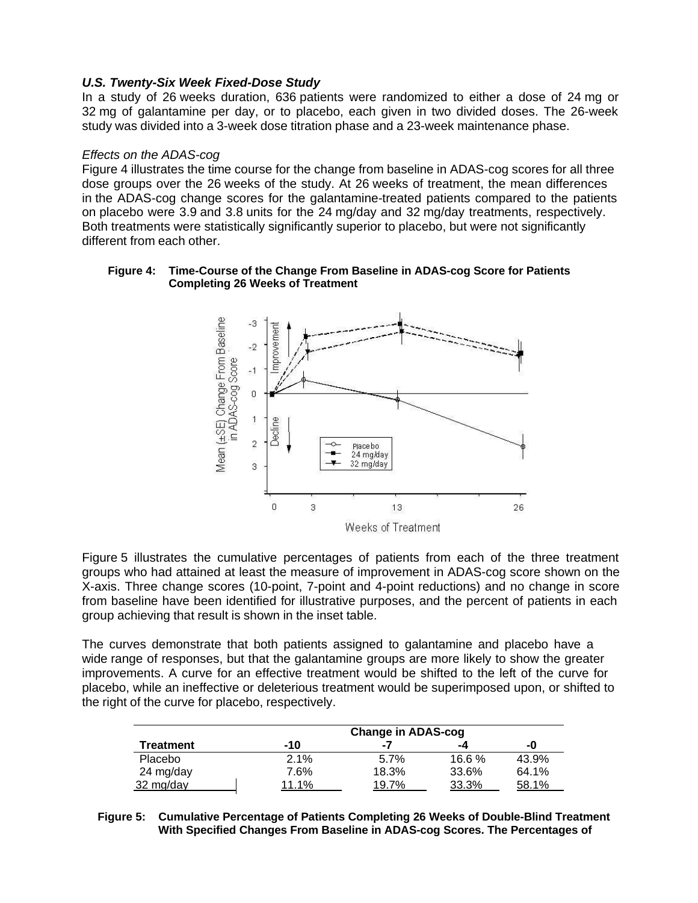### *U.S. Twenty-Six Week Fixed-Dose Study*

In a study of 26 weeks duration, 636 patients were randomized to either a dose of 24 mg or 32 mg of galantamine per day, or to placebo, each given in two divided doses. The 26-week study was divided into a 3-week dose titration phase and a 23-week maintenance phase.

#### *Effects on the ADAS-cog*

Figure 4 illustrates the time course for the change from baseline in ADAS-cog scores for all three dose groups over the 26 weeks of the study. At 26 weeks of treatment, the mean differences in the ADAS-cog change scores for the galantamine-treated patients compared to the patients on placebo were 3.9 and 3.8 units for the 24 mg/day and 32 mg/day treatments, respectively. Both treatments were statistically significantly superior to placebo, but were not significantly different from each other.

#### **Figure 4: Time-Course of the Change From Baseline in ADAS-cog Score for Patients Completing 26 Weeks of Treatment**



Figure 5 illustrates the cumulative percentages of patients from each of the three treatment groups who had attained at least the measure of improvement in ADAS-cog score shown on the X-axis. Three change scores (10-point, 7-point and 4-point reductions) and no change in score from baseline have been identified for illustrative purposes, and the percent of patients in each group achieving that result is shown in the inset table.

The curves demonstrate that both patients assigned to galantamine and placebo have a wide range of responses, but that the galantamine groups are more likely to show the greater improvements. A curve for an effective treatment would be shifted to the left of the curve for placebo, while an ineffective or deleterious treatment would be superimposed upon, or shifted to the right of the curve for placebo, respectively.

|                  | <b>Change in ADAS-cog</b> |       |       |       |
|------------------|---------------------------|-------|-------|-------|
| <b>Treatment</b> | -10                       | -7    | -4    | -0    |
| Placebo          | 2.1%                      | 5.7%  | 16.6% | 43.9% |
| 24 mg/day        | 7.6%                      | 18.3% | 33.6% | 64.1% |
| 32 mg/day        | 11.1%                     | 19.7% | 33.3% | 58.1% |

#### **Figure 5: Cumulative Percentage of Patients Completing 26 Weeks of Double-Blind Treatment With Specified Changes From Baseline in ADAS-cog Scores. The Percentages of**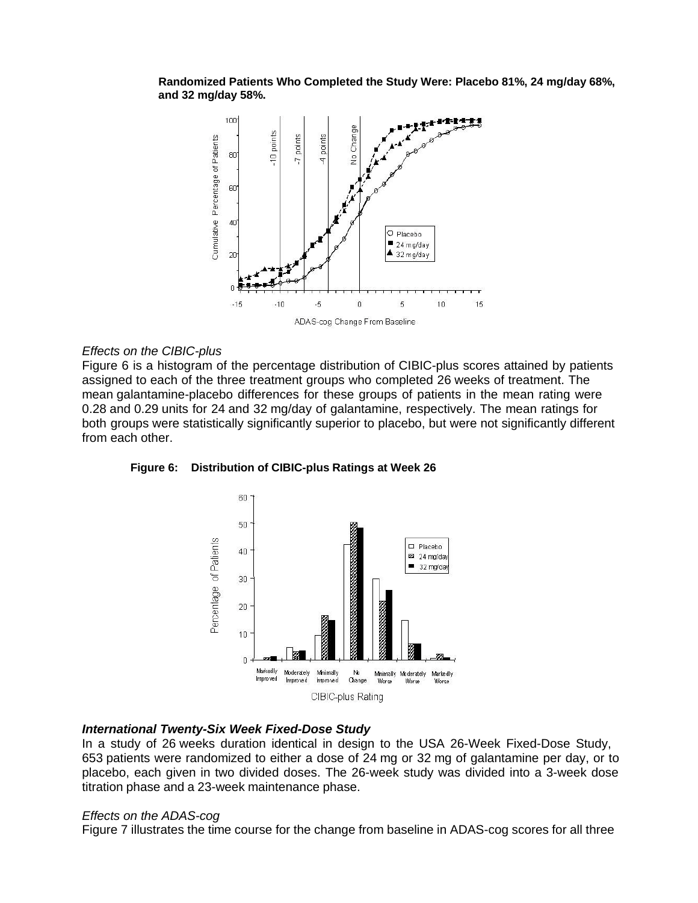**Randomized Patients Who Completed the Study Were: Placebo 81%, 24 mg/day 68%, and 32 mg/day 58%.**



#### *Effects on the CIBIC-plus*

Figure 6 is a histogram of the percentage distribution of CIBIC-plus scores attained by patients assigned to each of the three treatment groups who completed 26 weeks of treatment. The mean galantamine-placebo differences for these groups of patients in the mean rating were 0.28 and 0.29 units for 24 and 32 mg/day of galantamine, respectively. The mean ratings for both groups were statistically significantly superior to placebo, but were not significantly different from each other.



**Figure 6: Distribution of CIBIC-plus Ratings at Week 26**

#### *International Twenty-Six Week Fixed-Dose Study*

In a study of 26 weeks duration identical in design to the USA 26-Week Fixed-Dose Study, 653 patients were randomized to either a dose of 24 mg or 32 mg of galantamine per day, or to placebo, each given in two divided doses. The 26-week study was divided into a 3-week dose titration phase and a 23-week maintenance phase.

#### *Effects on the ADAS-cog*

Figure 7 illustrates the time course for the change from baseline in ADAS-cog scores for all three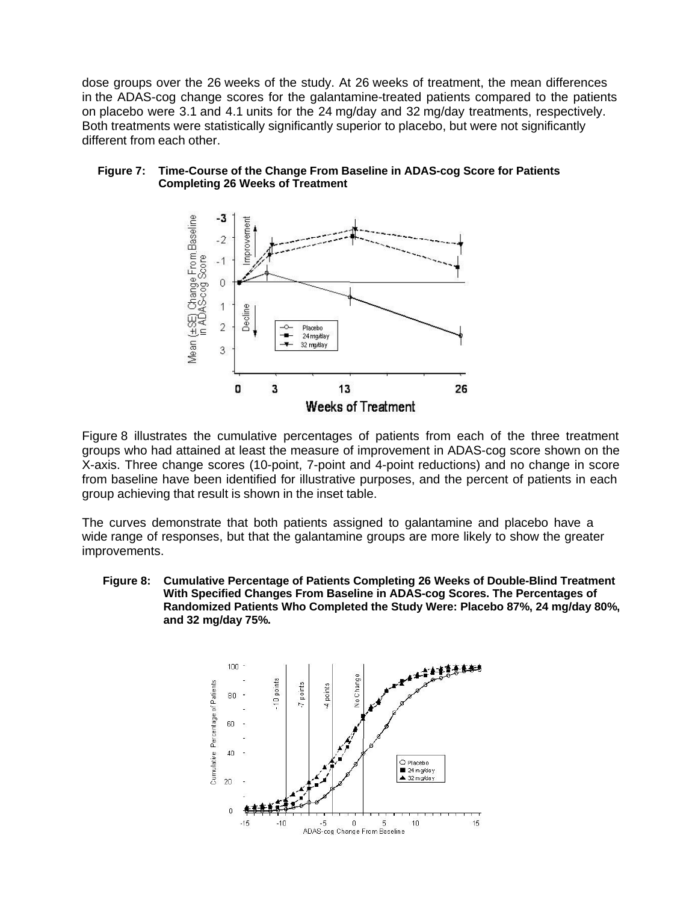dose groups over the 26 weeks of the study. At 26 weeks of treatment, the mean differences in the ADAS-cog change scores for the galantamine-treated patients compared to the patients on placebo were 3.1 and 4.1 units for the 24 mg/day and 32 mg/day treatments, respectively. Both treatments were statistically significantly superior to placebo, but were not significantly different from each other.



#### **Figure 7: Time-Course of the Change From Baseline in ADAS-cog Score for Patients Completing 26 Weeks of Treatment**

Figure 8 illustrates the cumulative percentages of patients from each of the three treatment groups who had attained at least the measure of improvement in ADAS-cog score shown on the X-axis. Three change scores (10-point, 7-point and 4-point reductions) and no change in score from baseline have been identified for illustrative purposes, and the percent of patients in each group achieving that result is shown in the inset table.

The curves demonstrate that both patients assigned to galantamine and placebo have a wide range of responses, but that the galantamine groups are more likely to show the greater improvements.

**Figure 8: Cumulative Percentage of Patients Completing 26 Weeks of Double-Blind Treatment With Specified Changes From Baseline in ADAS-cog Scores. The Percentages of Randomized Patients Who Completed the Study Were: Placebo 87%, 24 mg/day 80%, and 32 mg/day 75%.**

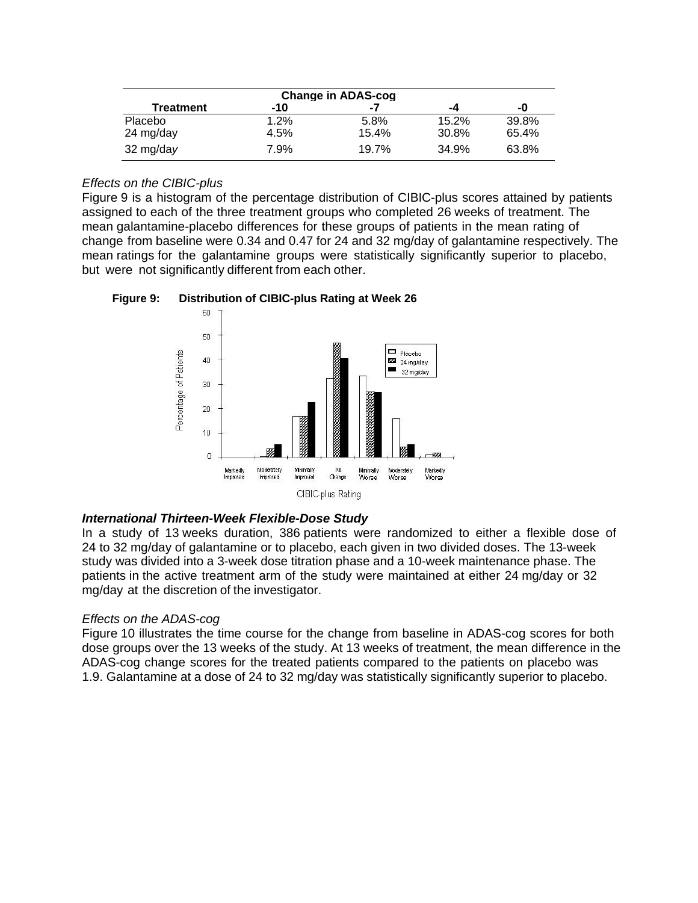| <b>Change in ADAS-cog</b> |      |       |       |       |
|---------------------------|------|-------|-------|-------|
| Treatment                 | -10  | -7    | -4    | -0    |
| Placebo                   | 1.2% | 5.8%  | 15.2% | 39.8% |
| 24 mg/day                 | 4.5% | 15.4% | 30.8% | 65.4% |
| $32 \text{ mg/day}$       | 7.9% | 19.7% | 34.9% | 63.8% |

# *Effects on the CIBIC-plus*

Figure 9 is a histogram of the percentage distribution of CIBIC-plus scores attained by patients assigned to each of the three treatment groups who completed 26 weeks of treatment. The mean galantamine-placebo differences for these groups of patients in the mean rating of change from baseline were 0.34 and 0.47 for 24 and 32 mg/day of galantamine respectively. The mean ratings for the galantamine groups were statistically significantly superior to placebo, but were not significantly different from each other.





#### *International Thirteen-Week Flexible-Dose Study*

In a study of 13 weeks duration, 386 patients were randomized to either a flexible dose of 24 to 32 mg/day of galantamine or to placebo, each given in two divided doses. The 13-week study was divided into a 3-week dose titration phase and a 10-week maintenance phase. The patients in the active treatment arm of the study were maintained at either 24 mg/day or 32 mg/day at the discretion of the investigator.

# *Effects on the ADAS-cog*

Figure 10 illustrates the time course for the change from baseline in ADAS-cog scores for both dose groups over the 13 weeks of the study. At 13 weeks of treatment, the mean difference in the ADAS-cog change scores for the treated patients compared to the patients on placebo was 1.9. Galantamine at a dose of 24 to 32 mg/day was statistically significantly superior to placebo.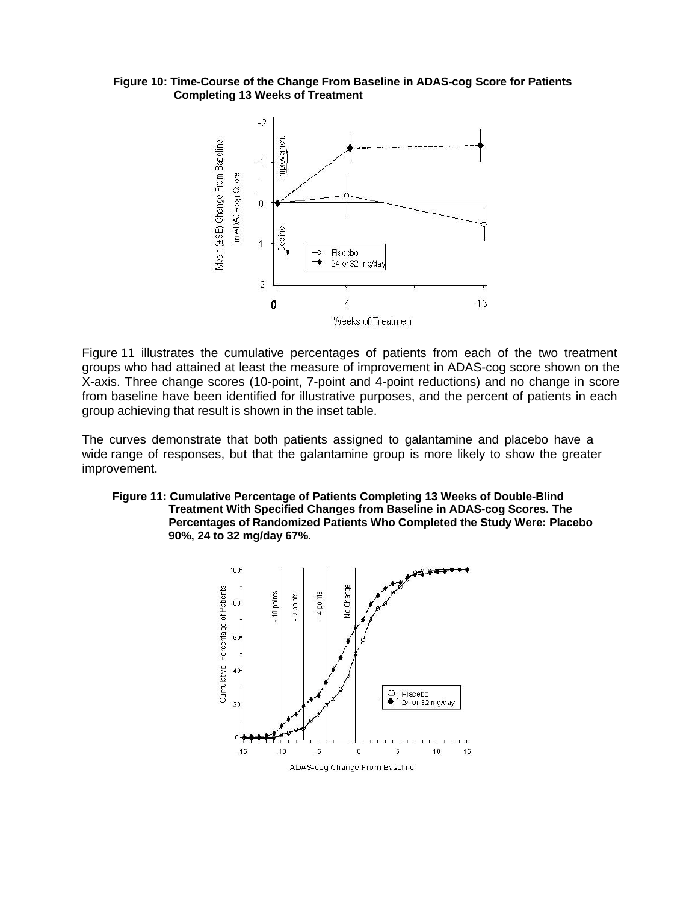#### **Figure 10: Time-Course of the Change From Baseline in ADAS-cog Score for Patients Completing 13 Weeks of Treatment**



Figure 11 illustrates the cumulative percentages of patients from each of the two treatment groups who had attained at least the measure of improvement in ADAS-cog score shown on the X-axis. Three change scores (10-point, 7-point and 4-point reductions) and no change in score from baseline have been identified for illustrative purposes, and the percent of patients in each group achieving that result is shown in the inset table.

The curves demonstrate that both patients assigned to galantamine and placebo have a wide range of responses, but that the galantamine group is more likely to show the greater improvement.

#### **Figure 11: Cumulative Percentage of Patients Completing 13 Weeks of Double-Blind Treatment With Specified Changes from Baseline in ADAS-cog Scores. The Percentages of Randomized Patients Who Completed the Study Were: Placebo 90%, 24 to 32 mg/day 67%.**

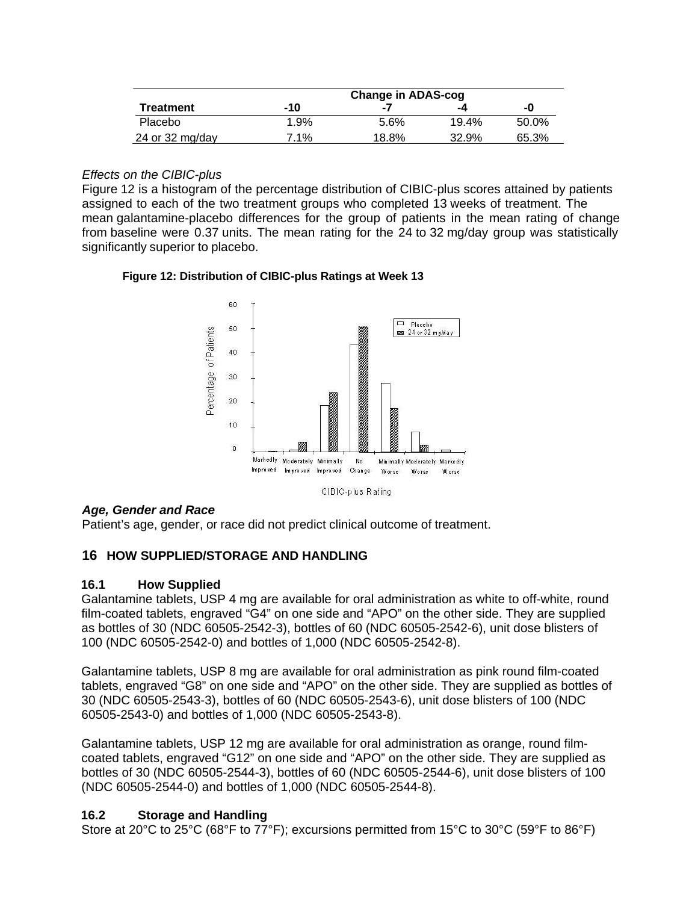| <b>Treatment</b> | -10  | -7    | -4    | -0    |
|------------------|------|-------|-------|-------|
| Placebo          | 1.9% | 5.6%  | 19.4% | 50.0% |
| 24 or 32 mg/day  | 7.1% | 18.8% | 32.9% | 65.3% |

### *Effects on the CIBIC-plus*

Figure 12 is a histogram of the percentage distribution of CIBIC-plus scores attained by patients assigned to each of the two treatment groups who completed 13 weeks of treatment. The mean galantamine-placebo differences for the group of patients in the mean rating of change from baseline were 0.37 units. The mean rating for the 24 to 32 mg/day group was statistically significantly superior to placebo.

### **Figure 12: Distribution of CIBIC-plus Ratings at Week 13**



*Age, Gender and Race*

Patient's age, gender, or race did not predict clinical outcome of treatment.

# <span id="page-21-0"></span>**16 HOW SUPPLIED/STORAGE AND HANDLING**

#### <span id="page-21-1"></span>**16.1 How Supplied**

Galantamine tablets, USP 4 mg are available for oral administration as white to off-white, round film-coated tablets, engraved "G4" on one side and "APO" on the other side. They are supplied as bottles of 30 (NDC 60505-2542-3), bottles of 60 (NDC 60505-2542-6), unit dose blisters of 100 (NDC 60505-2542-0) and bottles of 1,000 (NDC 60505-2542-8).

Galantamine tablets, USP 8 mg are available for oral administration as pink round film-coated tablets, engraved "G8" on one side and "APO" on the other side. They are supplied as bottles of 30 (NDC 60505-2543-3), bottles of 60 (NDC 60505-2543-6), unit dose blisters of 100 (NDC 60505-2543-0) and bottles of 1,000 (NDC 60505-2543-8).

Galantamine tablets, USP 12 mg are available for oral administration as orange, round filmcoated tablets, engraved "G12" on one side and "APO" on the other side. They are supplied as bottles of 30 (NDC 60505-2544-3), bottles of 60 (NDC 60505-2544-6), unit dose blisters of 100 (NDC 60505-2544-0) and bottles of 1,000 (NDC 60505-2544-8).

# <span id="page-21-2"></span>**16.2 Storage and Handling**

Store at 20°C to 25°C (68°F to 77°F); excursions permitted from 15°C to 30°C (59°F to 86°F)